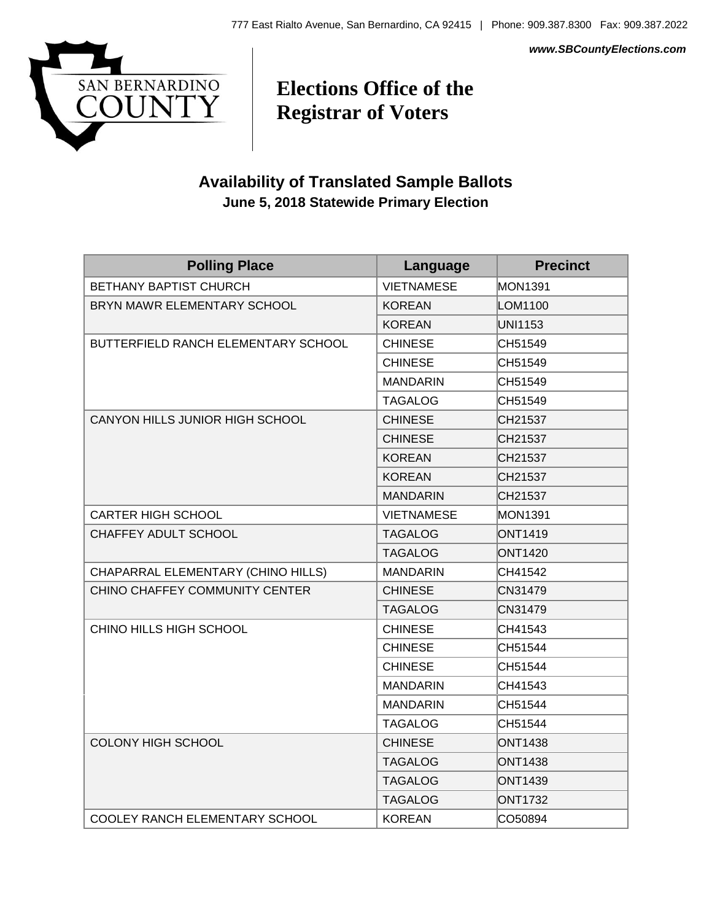*www.SBCountyElections.com*



## **Elections Office of the Registrar of Voters**

## **Availability of Translated Sample Ballots June 5, 2018 Statewide Primary Election**

| <b>Polling Place</b>                  | Language          | <b>Precinct</b> |
|---------------------------------------|-------------------|-----------------|
| <b>BETHANY BAPTIST CHURCH</b>         | <b>VIETNAMESE</b> | <b>MON1391</b>  |
| BRYN MAWR ELEMENTARY SCHOOL           | <b>KOREAN</b>     | LOM1100         |
|                                       | <b>KOREAN</b>     | <b>UNI1153</b>  |
| BUTTERFIELD RANCH ELEMENTARY SCHOOL   | <b>CHINESE</b>    | CH51549         |
|                                       | <b>CHINESE</b>    | CH51549         |
|                                       | <b>MANDARIN</b>   | CH51549         |
|                                       | <b>TAGALOG</b>    | CH51549         |
| CANYON HILLS JUNIOR HIGH SCHOOL       | <b>CHINESE</b>    | CH21537         |
|                                       | <b>CHINESE</b>    | CH21537         |
|                                       | <b>KOREAN</b>     | CH21537         |
|                                       | <b>KOREAN</b>     | CH21537         |
|                                       | <b>MANDARIN</b>   | CH21537         |
| <b>CARTER HIGH SCHOOL</b>             | <b>VIETNAMESE</b> | <b>MON1391</b>  |
| CHAFFEY ADULT SCHOOL                  | <b>TAGALOG</b>    | <b>ONT1419</b>  |
|                                       | <b>TAGALOG</b>    | <b>ONT1420</b>  |
| CHAPARRAL ELEMENTARY (CHINO HILLS)    | <b>MANDARIN</b>   | CH41542         |
| CHINO CHAFFEY COMMUNITY CENTER        | <b>CHINESE</b>    | CN31479         |
|                                       | <b>TAGALOG</b>    | CN31479         |
| CHINO HILLS HIGH SCHOOL               | <b>CHINESE</b>    | CH41543         |
|                                       | <b>CHINESE</b>    | CH51544         |
|                                       | <b>CHINESE</b>    | CH51544         |
|                                       | <b>MANDARIN</b>   | CH41543         |
|                                       | <b>MANDARIN</b>   | CH51544         |
|                                       | <b>TAGALOG</b>    | CH51544         |
| <b>COLONY HIGH SCHOOL</b>             | <b>CHINESE</b>    | <b>ONT1438</b>  |
|                                       | <b>TAGALOG</b>    | <b>ONT1438</b>  |
|                                       | <b>TAGALOG</b>    | <b>ONT1439</b>  |
|                                       | <b>TAGALOG</b>    | <b>ONT1732</b>  |
| <b>COOLEY RANCH ELEMENTARY SCHOOL</b> | <b>KOREAN</b>     | CO50894         |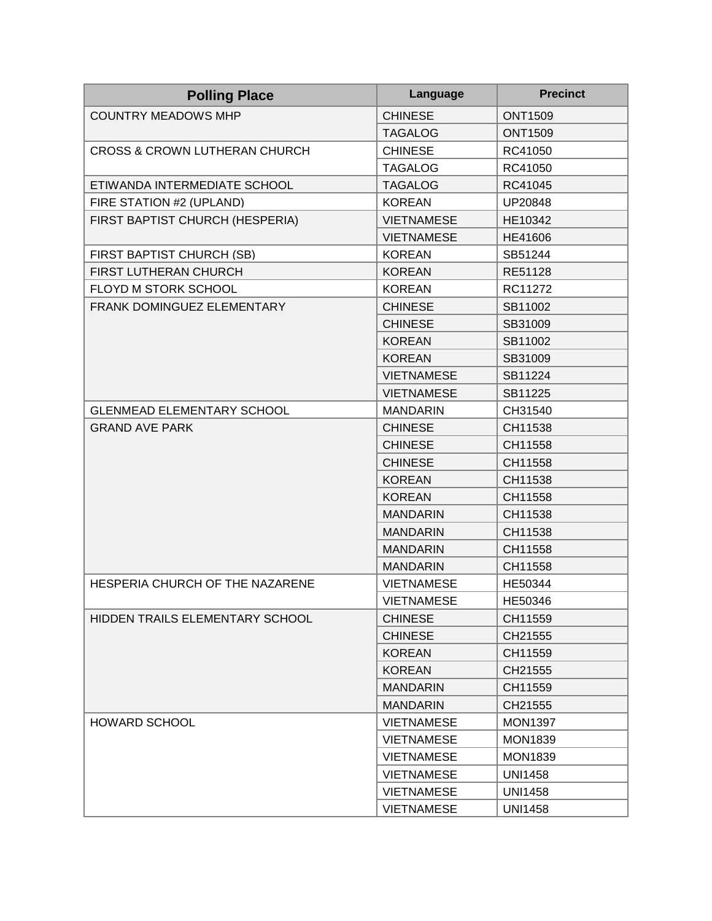| <b>Polling Place</b>                     | Language          | <b>Precinct</b> |
|------------------------------------------|-------------------|-----------------|
| <b>COUNTRY MEADOWS MHP</b>               | <b>CHINESE</b>    | <b>ONT1509</b>  |
|                                          | <b>TAGALOG</b>    | <b>ONT1509</b>  |
| <b>CROSS &amp; CROWN LUTHERAN CHURCH</b> | <b>CHINESE</b>    | RC41050         |
|                                          | <b>TAGALOG</b>    | RC41050         |
| ETIWANDA INTERMEDIATE SCHOOL             | <b>TAGALOG</b>    | RC41045         |
| FIRE STATION #2 (UPLAND)                 | <b>KOREAN</b>     | UP20848         |
| FIRST BAPTIST CHURCH (HESPERIA)          | <b>VIETNAMESE</b> | HE10342         |
|                                          | <b>VIETNAMESE</b> | HE41606         |
| FIRST BAPTIST CHURCH (SB)                | <b>KOREAN</b>     | SB51244         |
| FIRST LUTHERAN CHURCH                    | <b>KOREAN</b>     | RE51128         |
| FLOYD M STORK SCHOOL                     | <b>KOREAN</b>     | RC11272         |
| FRANK DOMINGUEZ ELEMENTARY               | <b>CHINESE</b>    | SB11002         |
|                                          | <b>CHINESE</b>    | SB31009         |
|                                          | <b>KOREAN</b>     | SB11002         |
|                                          | <b>KOREAN</b>     | SB31009         |
|                                          | <b>VIETNAMESE</b> | SB11224         |
|                                          | <b>VIETNAMESE</b> | SB11225         |
| <b>GLENMEAD ELEMENTARY SCHOOL</b>        | <b>MANDARIN</b>   | CH31540         |
| <b>GRAND AVE PARK</b>                    | <b>CHINESE</b>    | CH11538         |
|                                          | <b>CHINESE</b>    | CH11558         |
|                                          | <b>CHINESE</b>    | CH11558         |
|                                          | <b>KOREAN</b>     | CH11538         |
|                                          | <b>KOREAN</b>     | CH11558         |
|                                          | <b>MANDARIN</b>   | CH11538         |
|                                          | <b>MANDARIN</b>   | CH11538         |
|                                          | <b>MANDARIN</b>   | CH11558         |
|                                          | <b>MANDARIN</b>   | CH11558         |
| HESPERIA CHURCH OF THE NAZARENE          | <b>VIETNAMESE</b> | HE50344         |
|                                          | <b>VIETNAMESE</b> | HE50346         |
| HIDDEN TRAILS ELEMENTARY SCHOOL          | <b>CHINESE</b>    | CH11559         |
|                                          | <b>CHINESE</b>    | CH21555         |
|                                          | <b>KOREAN</b>     | CH11559         |
|                                          | <b>KOREAN</b>     | CH21555         |
|                                          | <b>MANDARIN</b>   | CH11559         |
|                                          | <b>MANDARIN</b>   | CH21555         |
| HOWARD SCHOOL                            | <b>VIETNAMESE</b> | <b>MON1397</b>  |
|                                          | <b>VIETNAMESE</b> | <b>MON1839</b>  |
|                                          | <b>VIETNAMESE</b> | <b>MON1839</b>  |
|                                          | <b>VIETNAMESE</b> | <b>UNI1458</b>  |
|                                          | <b>VIETNAMESE</b> | <b>UNI1458</b>  |
|                                          | <b>VIETNAMESE</b> | <b>UNI1458</b>  |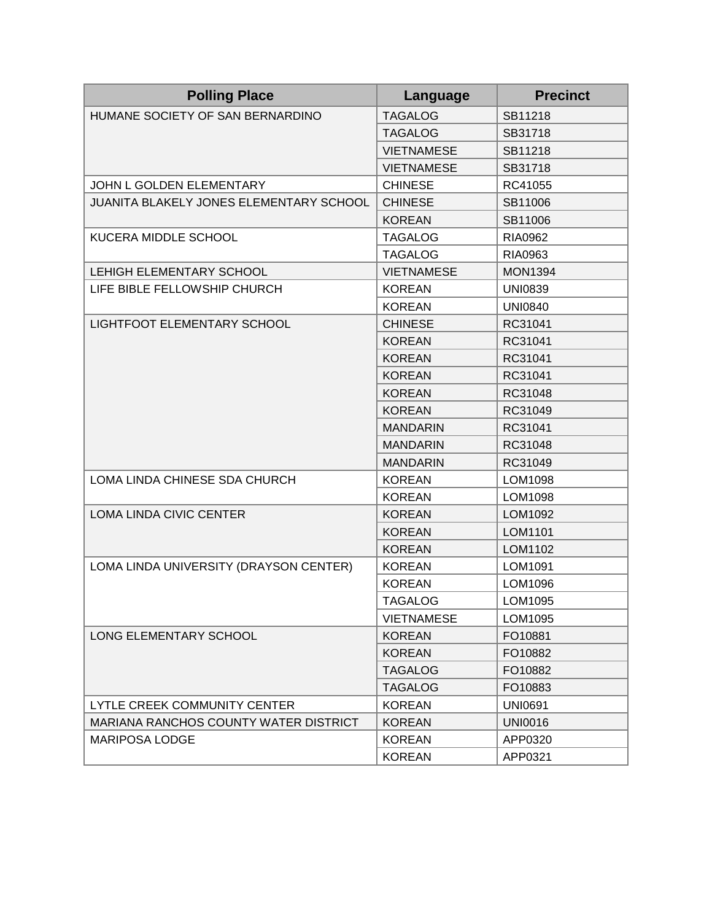| <b>Polling Place</b>                         | Language          | <b>Precinct</b> |
|----------------------------------------------|-------------------|-----------------|
| HUMANE SOCIETY OF SAN BERNARDINO             | <b>TAGALOG</b>    | SB11218         |
|                                              | <b>TAGALOG</b>    | SB31718         |
|                                              | <b>VIETNAMESE</b> | SB11218         |
|                                              | <b>VIETNAMESE</b> | SB31718         |
| JOHN L GOLDEN ELEMENTARY                     | <b>CHINESE</b>    | RC41055         |
| JUANITA BLAKELY JONES ELEMENTARY SCHOOL      | <b>CHINESE</b>    | SB11006         |
|                                              | <b>KOREAN</b>     | SB11006         |
| KUCERA MIDDLE SCHOOL                         | <b>TAGALOG</b>    | <b>RIA0962</b>  |
|                                              | <b>TAGALOG</b>    | RIA0963         |
| LEHIGH ELEMENTARY SCHOOL                     | <b>VIETNAMESE</b> | <b>MON1394</b>  |
| LIFE BIBLE FELLOWSHIP CHURCH                 | <b>KOREAN</b>     | <b>UNI0839</b>  |
|                                              | <b>KOREAN</b>     | <b>UNI0840</b>  |
| LIGHTFOOT ELEMENTARY SCHOOL                  | <b>CHINESE</b>    | RC31041         |
|                                              | <b>KOREAN</b>     | RC31041         |
|                                              | <b>KOREAN</b>     | RC31041         |
|                                              | <b>KOREAN</b>     | RC31041         |
|                                              | <b>KOREAN</b>     | RC31048         |
|                                              | <b>KOREAN</b>     | RC31049         |
|                                              | <b>MANDARIN</b>   | RC31041         |
|                                              | <b>MANDARIN</b>   | RC31048         |
|                                              | <b>MANDARIN</b>   | RC31049         |
| LOMA LINDA CHINESE SDA CHURCH                | <b>KOREAN</b>     | LOM1098         |
|                                              | <b>KOREAN</b>     | LOM1098         |
| LOMA LINDA CIVIC CENTER                      | <b>KOREAN</b>     | LOM1092         |
|                                              | <b>KOREAN</b>     | LOM1101         |
|                                              | <b>KOREAN</b>     | LOM1102         |
| LOMA LINDA UNIVERSITY (DRAYSON CENTER)       | <b>KOREAN</b>     | LOM1091         |
|                                              | <b>KOREAN</b>     | LOM1096         |
|                                              | <b>TAGALOG</b>    | LOM1095         |
|                                              | <b>VIETNAMESE</b> | LOM1095         |
| <b>LONG ELEMENTARY SCHOOL</b>                | <b>KOREAN</b>     | FO10881         |
|                                              | <b>KOREAN</b>     | FO10882         |
|                                              | <b>TAGALOG</b>    | FO10882         |
|                                              | <b>TAGALOG</b>    | FO10883         |
| LYTLE CREEK COMMUNITY CENTER                 | <b>KOREAN</b>     | <b>UNI0691</b>  |
| <b>MARIANA RANCHOS COUNTY WATER DISTRICT</b> | <b>KOREAN</b>     | <b>UNI0016</b>  |
| MARIPOSA LODGE                               | <b>KOREAN</b>     | APP0320         |
|                                              | <b>KOREAN</b>     | APP0321         |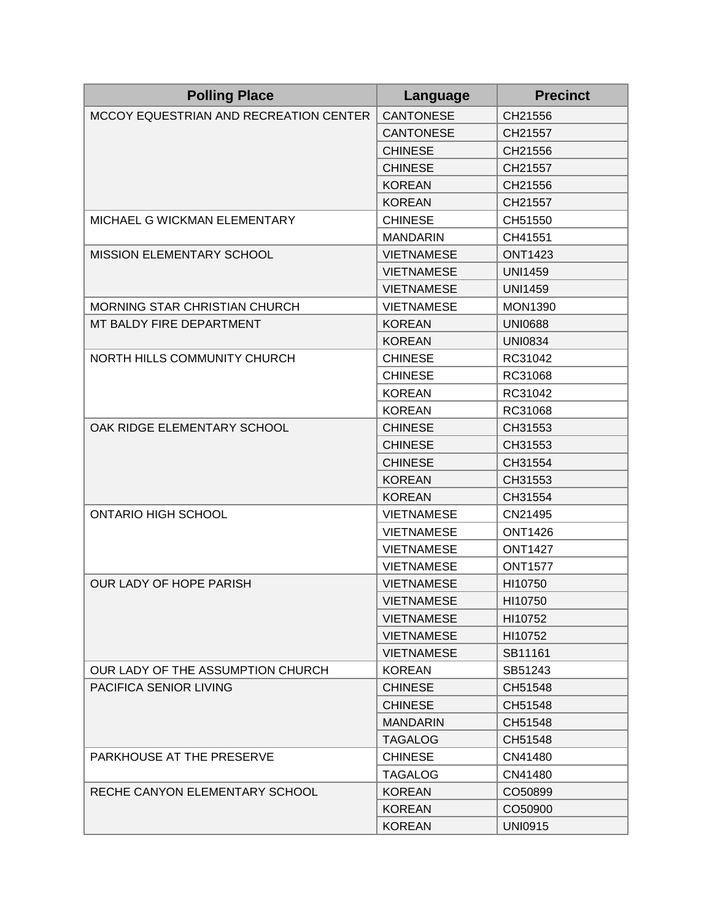| <b>Polling Place</b>                   | Language          | <b>Precinct</b> |
|----------------------------------------|-------------------|-----------------|
| MCCOY EQUESTRIAN AND RECREATION CENTER | <b>CANTONESE</b>  | CH21556         |
|                                        | <b>CANTONESE</b>  | CH21557         |
|                                        | <b>CHINESE</b>    | CH21556         |
|                                        | <b>CHINESE</b>    | CH21557         |
|                                        | <b>KOREAN</b>     | CH21556         |
|                                        | <b>KOREAN</b>     | CH21557         |
| MICHAEL G WICKMAN ELEMENTARY           | <b>CHINESE</b>    | CH51550         |
|                                        | <b>MANDARIN</b>   | CH41551         |
| <b>MISSION ELEMENTARY SCHOOL</b>       | <b>VIETNAMESE</b> | <b>ONT1423</b>  |
|                                        | <b>VIETNAMESE</b> | <b>UNI1459</b>  |
|                                        | <b>VIETNAMESE</b> | <b>UNI1459</b>  |
| MORNING STAR CHRISTIAN CHURCH          | <b>VIETNAMESE</b> | <b>MON1390</b>  |
| MT BALDY FIRE DEPARTMENT               | <b>KOREAN</b>     | <b>UNI0688</b>  |
|                                        | <b>KOREAN</b>     | <b>UNI0834</b>  |
| NORTH HILLS COMMUNITY CHURCH           | <b>CHINESE</b>    | RC31042         |
|                                        | <b>CHINESE</b>    | RC31068         |
|                                        | <b>KOREAN</b>     | RC31042         |
|                                        | <b>KOREAN</b>     | RC31068         |
| OAK RIDGE ELEMENTARY SCHOOL            | <b>CHINESE</b>    | CH31553         |
|                                        | <b>CHINESE</b>    | CH31553         |
|                                        | <b>CHINESE</b>    | CH31554         |
|                                        | <b>KOREAN</b>     | CH31553         |
|                                        | <b>KOREAN</b>     | CH31554         |
| <b>ONTARIO HIGH SCHOOL</b>             | <b>VIETNAMESE</b> | CN21495         |
|                                        | <b>VIETNAMESE</b> | <b>ONT1426</b>  |
|                                        | <b>VIETNAMESE</b> | <b>ONT1427</b>  |
|                                        | <b>VIETNAMESE</b> | <b>ONT1577</b>  |
| OUR LADY OF HOPE PARISH                | <b>VIETNAMESE</b> | HI10750         |
|                                        | <b>VIETNAMESE</b> | HI10750         |
|                                        | <b>VIETNAMESE</b> | HI10752         |
|                                        | <b>VIETNAMESE</b> | HI10752         |
|                                        | <b>VIETNAMESE</b> | SB11161         |
| OUR LADY OF THE ASSUMPTION CHURCH      | <b>KOREAN</b>     | SB51243         |
| <b>PACIFICA SENIOR LIVING</b>          | <b>CHINESE</b>    | CH51548         |
|                                        | <b>CHINESE</b>    | CH51548         |
|                                        | <b>MANDARIN</b>   | CH51548         |
|                                        | <b>TAGALOG</b>    | CH51548         |
| PARKHOUSE AT THE PRESERVE              | <b>CHINESE</b>    | CN41480         |
|                                        | <b>TAGALOG</b>    | CN41480         |
| RECHE CANYON ELEMENTARY SCHOOL         | <b>KOREAN</b>     | CO50899         |
|                                        | <b>KOREAN</b>     | CO50900         |
|                                        | <b>KOREAN</b>     | <b>UNI0915</b>  |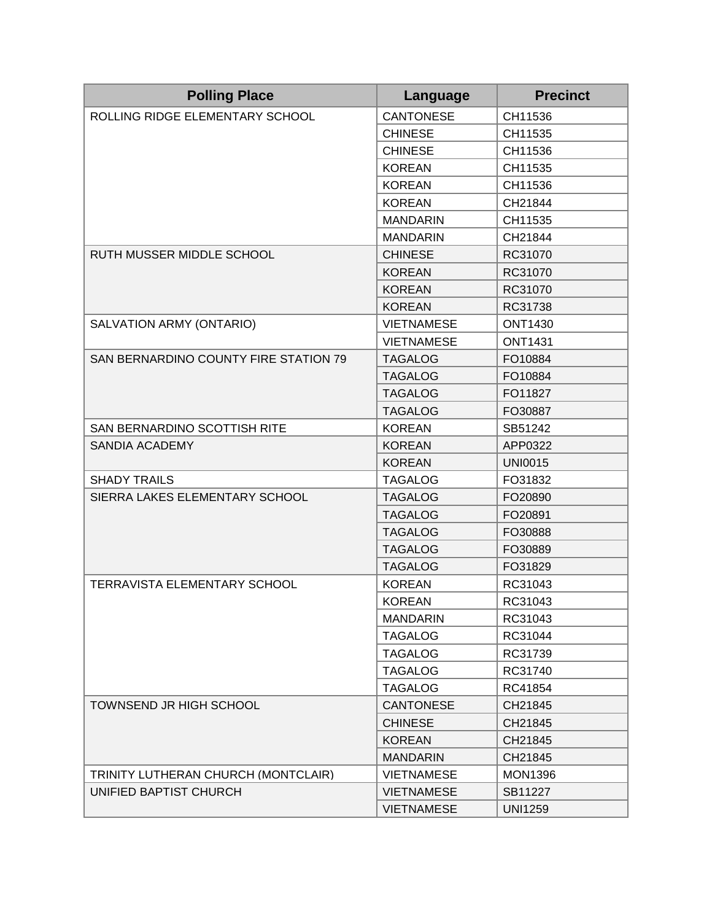| <b>Polling Place</b>                  | Language          | <b>Precinct</b> |
|---------------------------------------|-------------------|-----------------|
| ROLLING RIDGE ELEMENTARY SCHOOL       | <b>CANTONESE</b>  | CH11536         |
|                                       | <b>CHINESE</b>    | CH11535         |
|                                       | <b>CHINESE</b>    | CH11536         |
|                                       | <b>KOREAN</b>     | CH11535         |
|                                       | <b>KOREAN</b>     | CH11536         |
|                                       | <b>KOREAN</b>     | CH21844         |
|                                       | <b>MANDARIN</b>   | CH11535         |
|                                       | <b>MANDARIN</b>   | CH21844         |
| RUTH MUSSER MIDDLE SCHOOL             | <b>CHINESE</b>    | RC31070         |
|                                       | <b>KOREAN</b>     | RC31070         |
|                                       | <b>KOREAN</b>     | RC31070         |
|                                       | <b>KOREAN</b>     | RC31738         |
| SALVATION ARMY (ONTARIO)              | <b>VIETNAMESE</b> | <b>ONT1430</b>  |
|                                       | <b>VIETNAMESE</b> | <b>ONT1431</b>  |
| SAN BERNARDINO COUNTY FIRE STATION 79 | <b>TAGALOG</b>    | FO10884         |
|                                       | <b>TAGALOG</b>    | FO10884         |
|                                       | <b>TAGALOG</b>    | FO11827         |
|                                       | <b>TAGALOG</b>    | FO30887         |
| SAN BERNARDINO SCOTTISH RITE          | <b>KOREAN</b>     | SB51242         |
| <b>SANDIA ACADEMY</b>                 | <b>KOREAN</b>     | APP0322         |
|                                       | <b>KOREAN</b>     | <b>UNI0015</b>  |
| <b>SHADY TRAILS</b>                   | <b>TAGALOG</b>    | FO31832         |
| SIERRA LAKES ELEMENTARY SCHOOL        | <b>TAGALOG</b>    | FO20890         |
|                                       | <b>TAGALOG</b>    | FO20891         |
|                                       | <b>TAGALOG</b>    | FO30888         |
|                                       | <b>TAGALOG</b>    | FO30889         |
|                                       | <b>TAGALOG</b>    | FO31829         |
| <b>TERRAVISTA ELEMENTARY SCHOOL</b>   | <b>KOREAN</b>     | RC31043         |
|                                       | <b>KOREAN</b>     | RC31043         |
|                                       | <b>MANDARIN</b>   | RC31043         |
|                                       | <b>TAGALOG</b>    | RC31044         |
|                                       | <b>TAGALOG</b>    | RC31739         |
|                                       | <b>TAGALOG</b>    | RC31740         |
|                                       | <b>TAGALOG</b>    | RC41854         |
| <b>TOWNSEND JR HIGH SCHOOL</b>        | <b>CANTONESE</b>  | CH21845         |
|                                       | <b>CHINESE</b>    | CH21845         |
|                                       | <b>KOREAN</b>     | CH21845         |
|                                       | <b>MANDARIN</b>   | CH21845         |
| TRINITY LUTHERAN CHURCH (MONTCLAIR)   | <b>VIETNAMESE</b> | <b>MON1396</b>  |
| UNIFIED BAPTIST CHURCH                | <b>VIETNAMESE</b> | SB11227         |
|                                       | <b>VIETNAMESE</b> | <b>UNI1259</b>  |